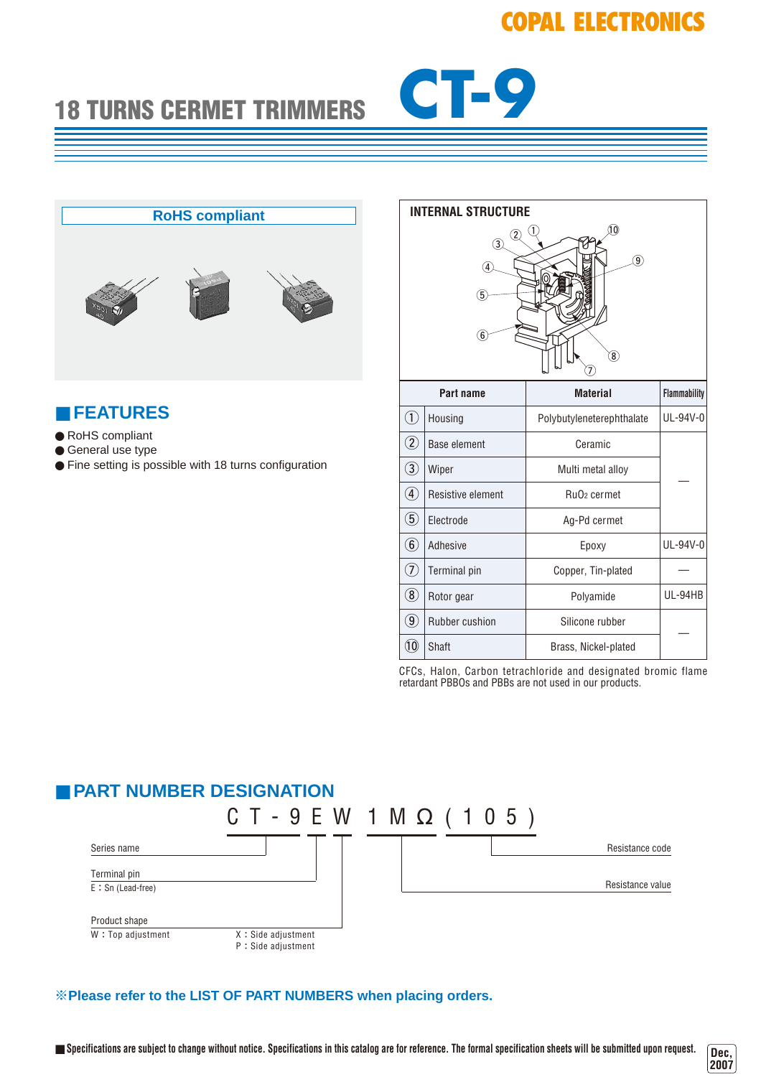# **COPAL ELECTRONICS**

# **18 TURNS CERMET TRIMMERS CT-9**



### ■ **FEATURES**

- RoHS compliant
- General use type
- Fine setting is possible with 18 turns configuration

| <b>INTERNAL STRUCTURE</b>                                   |                     |                                     |                     |  |  |
|-------------------------------------------------------------|---------------------|-------------------------------------|---------------------|--|--|
| 10<br>2<br>3<br>$\widehat{9}$<br>4<br>5<br>6<br>$\boxed{8}$ |                     |                                     |                     |  |  |
| Part name                                                   |                     | <b>Material</b>                     | <b>Flammability</b> |  |  |
| $\textcircled{\scriptsize{1}}$                              | Housing             | Polybutyleneterephthalate           | UL-94V-0            |  |  |
| $\Large 2$                                                  | <b>Base element</b> | Ceramic                             |                     |  |  |
| $\bigcirc$                                                  | Wiper               | Multi metal alloy                   |                     |  |  |
| $\bigcirc$                                                  | Resistive element   | Ru <sub>O</sub> <sub>2</sub> cermet |                     |  |  |
| $\circledS$                                                 | Electrode           | Ag-Pd cermet                        |                     |  |  |
| $\circled6$                                                 | Adhesive            | Epoxy                               | UL-94V-0            |  |  |
| ⑦                                                           | <b>Terminal pin</b> | Copper, Tin-plated                  |                     |  |  |
| $^\circledR$                                                | Rotor gear          | Polyamide                           | UL-94HB             |  |  |
| $\circledast$                                               | Rubber cushion      | Silicone rubber                     |                     |  |  |
| $^{\textcircled{\small{10}}}$                               | Shaft               | Brass, Nickel-plated                |                     |  |  |

CFCs, Halon, Carbon tetrachloride and designated bromic flame retardant PBBOs and PBBs are not used in our products.

#### ■ **PART NUMBER DESIGNATION**  $CT - 9 E W 1 M \Omega (105)$ Series name Resistance code Resistance value Product shape  $W: Top$  adjustment  $X: Side$  adjustment P:Side adjustment Terminal pin E : Sn (Lead-free)

#### ※**Please refer to the LIST OF PART NUMBERS when placing orders.**

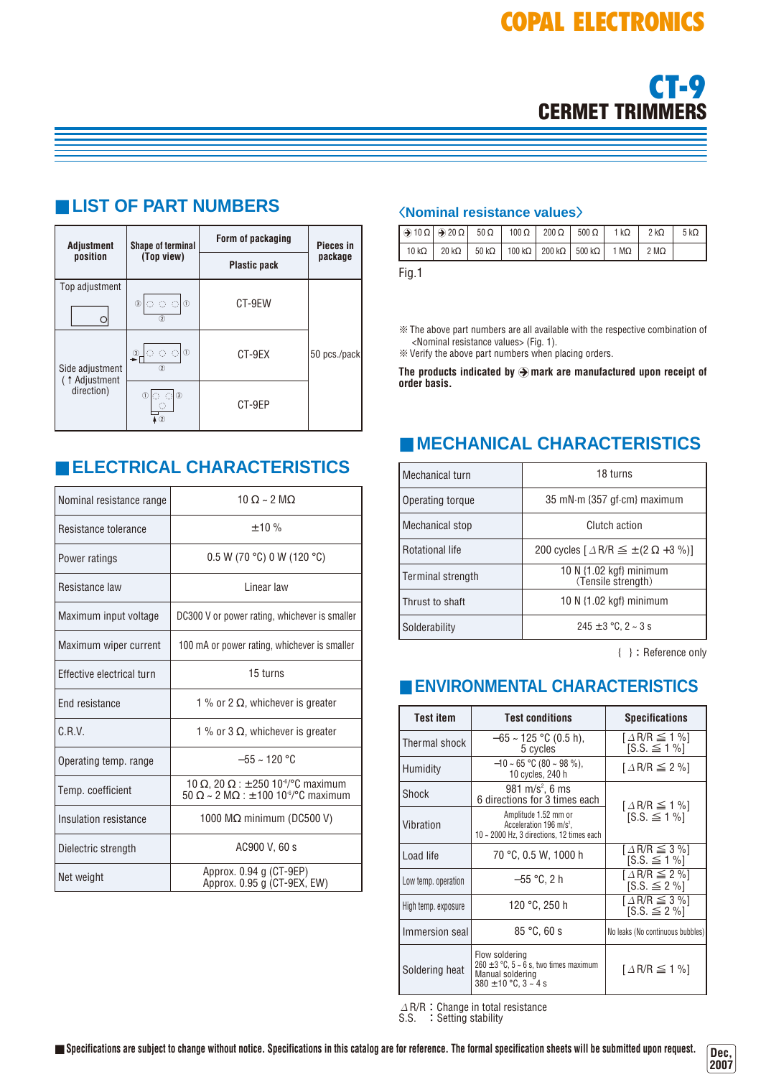

#### **Form of packaging Adjustment Shape of terminal Pieces in package position (Top view) Plastic pack** Top adjustment  $\circ \circ \circ \circ$ CT-9EW  $\circ$  $\overline{2}$  $\bigcirc$  0 0 0 50 pcs./pack CT-9EX  $\overline{\circ}$ Side adjustment (↑Adjustment direction)  $\begin{picture}(180,10) \put(0,0){\line(1,0){10}} \put(15,0){\line(1,0){10}} \put(15,0){\line(1,0){10}} \put(15,0){\line(1,0){10}} \put(15,0){\line(1,0){10}} \put(15,0){\line(1,0){10}} \put(15,0){\line(1,0){10}} \put(15,0){\line(1,0){10}} \put(15,0){\line(1,0){10}} \put(15,0){\line(1,0){10}} \put(15,0){\line(1,0){10}} \put(15,0){\line($ CT-9EP  $\overline{4}$  2

■ **LIST OF PART NUMBERS**

## ■ **ELECTRICAL CHARACTERISTICS**

| Nominal resistance range  | $10 \Omega \sim 2 \text{ M}\Omega$                                                                                         |  |  |
|---------------------------|----------------------------------------------------------------------------------------------------------------------------|--|--|
| Resistance tolerance      | $+10%$                                                                                                                     |  |  |
| Power ratings             | 0.5 W (70 °C) 0 W (120 °C)                                                                                                 |  |  |
| Resistance law            | I inear law                                                                                                                |  |  |
| Maximum input voltage     | DC300 V or power rating, whichever is smaller                                                                              |  |  |
| Maximum wiper current     | 100 mA or power rating, whichever is smaller                                                                               |  |  |
| Effective electrical turn | 15 turns                                                                                                                   |  |  |
| End resistance            | 1 % or 2 $\Omega$ , whichever is greater                                                                                   |  |  |
| C.R.V.                    | 1 % or 3 $\Omega$ , whichever is greater                                                                                   |  |  |
| Operating temp. range     | $-55 \sim 120$ °C                                                                                                          |  |  |
| Temp. coefficient         | 10 Ω, 20 Ω : ± 250 10 <sup>-6</sup> /°C maximum<br>$50 \Omega \sim 2 \text{ M}\Omega$ : ± 100 10 <sup>-6</sup> /°C maximum |  |  |
| Insulation resistance     | 1000 $M\Omega$ minimum (DC500 V)                                                                                           |  |  |
| Dielectric strength       | AC900 V, 60 s                                                                                                              |  |  |
| Net weight                | Approx. 0.94 g (CT-9EP)<br>Approx. 0.95 g (CT-9EX, EW)                                                                     |  |  |

#### 〈**Nominal resistance values**〉

| $\Theta$ 10 Ω $\Theta$ 20 Ω $\Big $ 50 Ω $\Big $ 100 Ω $\Big $ 200 Ω $\Big $ 500 Ω $\Big $ 1 kΩ $\Big $ 2 kΩ                   |  |  |  | 5 k $\Omega$ |
|--------------------------------------------------------------------------------------------------------------------------------|--|--|--|--------------|
| 10 k $\Omega$   20 k $\Omega$   50 k $\Omega$   100 k $\Omega$   200 k $\Omega$   500 k $\Omega$   1 M $\Omega$   2 M $\Omega$ |  |  |  |              |
|                                                                                                                                |  |  |  |              |

Fig.1

※The above part numbers are all available with the respective combination of <Nominal resistance values> (Fig. 1).

※Verify the above part numbers when placing orders.

The products indicated by  $\bigcirc$  mark are manufactured upon receipt of **order basis.**

# ■ **MECHANICAL CHARACTERISTICS**

| Mechanical turn        | 18 turns                                                         |  |  |
|------------------------|------------------------------------------------------------------|--|--|
| Operating torque       | 35 mN·m {357 gf·cm} maximum                                      |  |  |
| Mechanical stop        | Clutch action                                                    |  |  |
| <b>Rotational life</b> | 200 cycles $\lceil \Delta R/R \leq \pm (2 \Omega + 3 \%) \rceil$ |  |  |
| Terminal strength      | 10 N $\{1.02 \text{ kgf}\}\$ minimum<br>(Tensile strength)       |  |  |
| Thrust to shaft        | 10 N $\{1.02 \text{ kgf}\}\$ minimum                             |  |  |
| Solderability          | $245 \pm 3$ °C, 2 ~ 3 s                                          |  |  |

{ }:Reference only

# ■ **ENVIRONMENTAL CHARACTERISTICS**

| <b>Test item</b>    | <b>Test conditions</b>                                                                                                 | <b>Specifications</b>                                     |  |
|---------------------|------------------------------------------------------------------------------------------------------------------------|-----------------------------------------------------------|--|
| Thermal shock       | $-65 \sim 125$ °C (0.5 h),<br>5 cycles                                                                                 | $\lceil \Delta R/R \leq 1 \% \rceil$<br>$[S.S. \leq 1\%]$ |  |
| Humidity            | $-10 \sim 65$ °C (80 ~ 98 %),<br>10 cycles, 240 h                                                                      | $\lceil \Delta R/R \leq 2 \% \rceil$                      |  |
| Shock               | 981 m/s <sup>2</sup> , 6 ms<br>6 directions for 3 times each                                                           | $[A \mathsf{R}/\mathsf{R} \leq 1 \, \%]$                  |  |
| Vibration           | Amplitude 1.52 mm or<br>Acceleration 196 m/s <sup>2</sup> ,<br>10 $\sim$ 2000 Hz, 3 directions, 12 times each          | $[S.S. \leq 1\%]$                                         |  |
| Load life           | 70 °C, 0.5 W, 1000 h                                                                                                   | $\lceil \Delta$ R/R $\leq$ 3 %]<br>$[S.S. \le 1\%]$       |  |
| Low temp. operation | $-55$ °C, 2 h                                                                                                          | $\lceil \Delta R/R \leq 2 \% \rceil$<br>$[S.S. \leq 2\%]$ |  |
| High temp. exposure | 120 °C, 250 h                                                                                                          | $\lceil \Delta R/R \leq 3 \% \rceil$<br>$[S.S. \leq 2\%]$ |  |
| Immersion seal      | 85 °C.60 s                                                                                                             | No leaks (No continuous bubbles)                          |  |
| Soldering heat      | Flow soldering<br>$260 \pm 3$ °C, $5 \sim 6$ s, two times maximum<br>Manual soldering<br>$380 \pm 10$ °C, $3 \sim 4$ s | $\lceil \Delta R/R \leq 1 \% \rceil$                      |  |

 $\varDelta$  R/R:Change in total resistance S.S. : Setting stability

Dec,<br>2007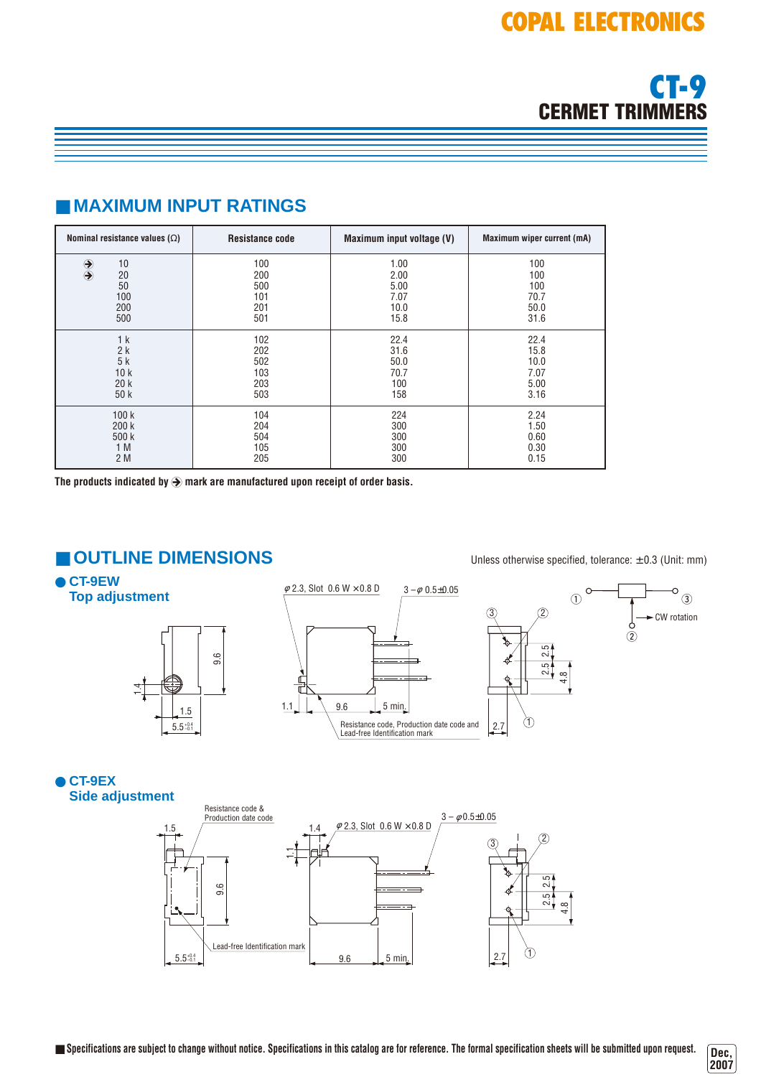

## ■ **MAXIMUM INPUT RATINGS**

| Nominal resistance values $(\Omega)$              | <b>Resistance code</b>                 | Maximum input voltage (V)                    | Maximum wiper current (mA)                |
|---------------------------------------------------|----------------------------------------|----------------------------------------------|-------------------------------------------|
| $\bigcirc$<br>10<br>20<br>50<br>100<br>200<br>500 | 100<br>200<br>500<br>101<br>201<br>501 | 1.00<br>2.00<br>5.00<br>7.07<br>10.0<br>15.8 | 100<br>100<br>100<br>70.7<br>50.0<br>31.6 |
| 1 <sup>k</sup>                                    | 102                                    | 22.4                                         | 22.4                                      |
| 2k                                                | 202                                    | 31.6                                         | 15.8                                      |
| 5k                                                | 502                                    | 50.0                                         | 10.0                                      |
| 10k                                               | 103                                    | 70.7                                         | 7.07                                      |
| 20k                                               | 203                                    | 100                                          | 5.00                                      |
| 50 k                                              | 503                                    | 158                                          | 3.16                                      |
| 100k                                              | 104                                    | 224                                          | 2.24                                      |
| 200k                                              | 204                                    | 300                                          | 1.50                                      |
| 500 k                                             | 504                                    | 300                                          | 0.60                                      |
| 1 M                                               | 105                                    | 300                                          | 0.30                                      |
| 2 M                                               | 205                                    | 300                                          | 0.15                                      |

The products indicated by  $\bigcirc$  mark are manufactured upon receipt of order basis.

### ■ **OUTLINE DIMENSIONS** Unless otherwise specified, tolerance: ± 0.3 (Unit: mm)

● **CT-9EW Top adjustment**





 $\circ$ <sub>3</sub>



● **CT-9EX Side adjustment**